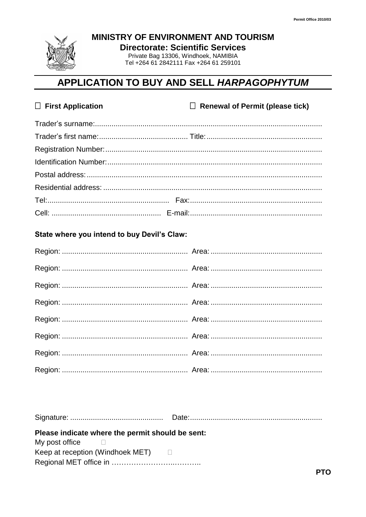

MINISTRY OF ENVIRONMENT AND TOURISM

**Directorate: Scientific Services** 

Private Bag 13306, Windhoek, NAMIBIA Tel +264 61 2842111 Fax +264 61 259101

## APPLICATION TO BUY AND SELL HARPAGOPHYTUM

| $\Box$ First Application | $\Box$ Renewal of Permit (please tick) |
|--------------------------|----------------------------------------|
|                          |                                        |
|                          |                                        |
|                          |                                        |
|                          |                                        |
|                          |                                        |
|                          |                                        |
|                          |                                        |
|                          |                                        |

## State where you intend to buy Devil's Claw:

Please indicate where the permit should be sent: My post office  $\Box$ 

Keep at reception (Windhoek MET)  $\Box$